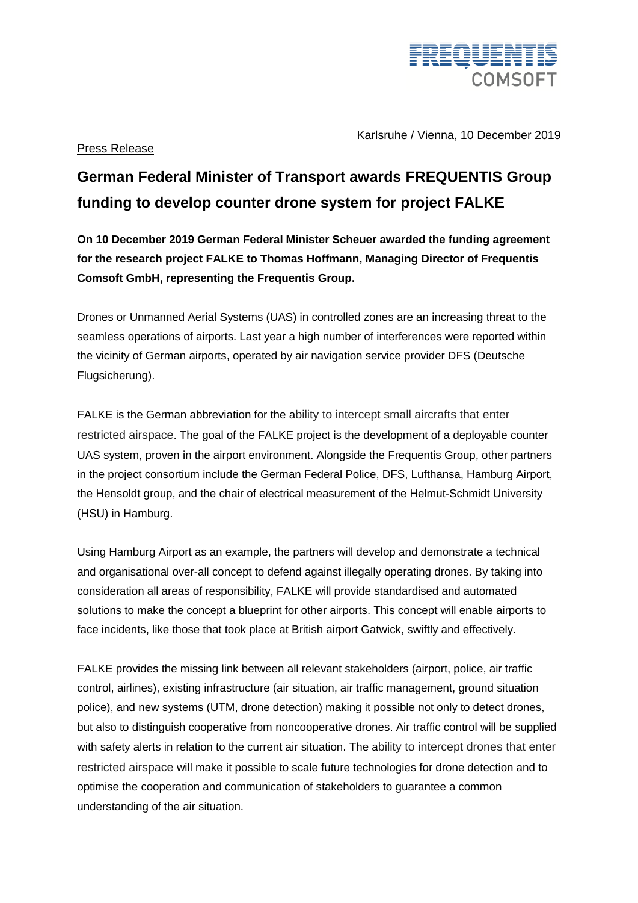

Karlsruhe / Vienna, 10 December 2019

## Press Release

## **German Federal Minister of Transport awards FREQUENTIS Group funding to develop counter drone system for project FALKE**

**On 10 December 2019 German Federal Minister Scheuer awarded the funding agreement for the research project FALKE to Thomas Hoffmann, Managing Director of Frequentis Comsoft GmbH, representing the Frequentis Group.** 

Drones or Unmanned Aerial Systems (UAS) in controlled zones are an increasing threat to the seamless operations of airports. Last year a high number of interferences were reported within the vicinity of German airports, operated by air navigation service provider DFS (Deutsche Flugsicherung).

FALKE is the German abbreviation for the ability to intercept small aircrafts that enter restricted airspace. The goal of the FALKE project is the development of a deployable counter UAS system, proven in the airport environment. Alongside the Frequentis Group, other partners in the project consortium include the German Federal Police, DFS, Lufthansa, Hamburg Airport, the Hensoldt group, and the chair of electrical measurement of the Helmut-Schmidt University (HSU) in Hamburg.

Using Hamburg Airport as an example, the partners will develop and demonstrate a technical and organisational over-all concept to defend against illegally operating drones. By taking into consideration all areas of responsibility, FALKE will provide standardised and automated solutions to make the concept a blueprint for other airports. This concept will enable airports to face incidents, like those that took place at British airport Gatwick, swiftly and effectively.

FALKE provides the missing link between all relevant stakeholders (airport, police, air traffic control, airlines), existing infrastructure (air situation, air traffic management, ground situation police), and new systems (UTM, drone detection) making it possible not only to detect drones, but also to distinguish cooperative from noncooperative drones. Air traffic control will be supplied with safety alerts in relation to the current air situation. The ability to intercept drones that enter restricted airspace will make it possible to scale future technologies for drone detection and to optimise the cooperation and communication of stakeholders to guarantee a common understanding of the air situation.